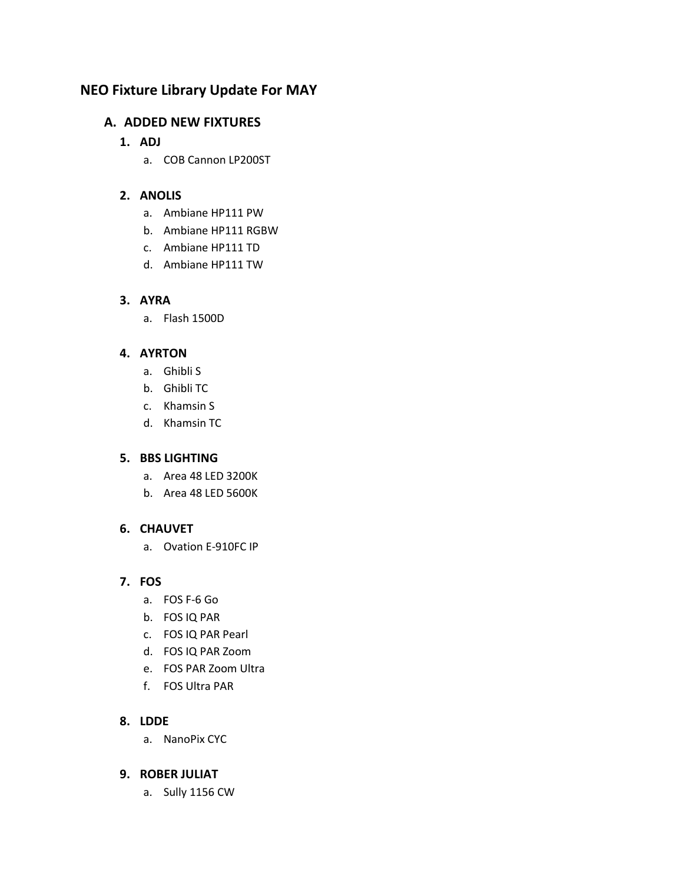# **NEO Fixture Library Update For MAY**

## **A. ADDED NEW FIXTURES**

### **1. ADJ**

a. COB Cannon LP200ST

## **2. ANOLIS**

- a. Ambiane HP111 PW
- b. Ambiane HP111 RGBW
- c. Ambiane HP111 TD
- d. Ambiane HP111 TW

## **3. AYRA**

a. Flash 1500D

## **4. AYRTON**

- a. Ghibli S
- b. Ghibli TC
- c. Khamsin S
- d. Khamsin TC

### **5. BBS LIGHTING**

- a. Area 48 LED 3200K
- b. Area 48 LED 5600K

## **6. CHAUVET**

a. Ovation E-910FC IP

## **7. FOS**

- a. FOS F-6 Go
- b. FOS IQ PAR
- c. FOS IQ PAR Pearl
- d. FOS IQ PAR Zoom
- e. FOS PAR Zoom Ultra
- f. FOS Ultra PAR

### **8. LDDE**

a. NanoPix CYC

### **9. ROBER JULIAT**

a. Sully 1156 CW